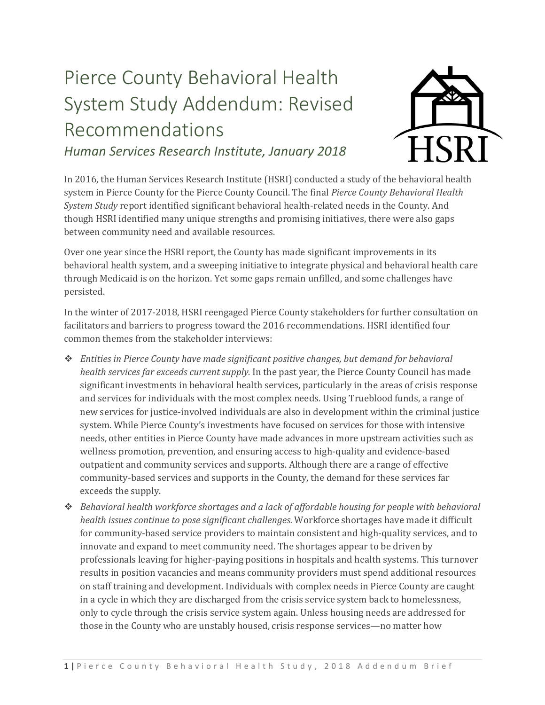## Pierce County Behavioral Health System Study Addendum: Revised Recommendations *Human Services Research Institute, January 2018*



In 2016, the Human Services Research Institute (HSRI) conducted a study of the behavioral health system in Pierce County for the Pierce County Council. The final *Pierce County Behavioral Health System Study* report identified significant behavioral health-related needs in the County. And though HSRI identified many unique strengths and promising initiatives, there were also gaps between community need and available resources.

Over one year since the HSRI report, the County has made significant improvements in its behavioral health system, and a sweeping initiative to integrate physical and behavioral health care through Medicaid is on the horizon. Yet some gaps remain unfilled, and some challenges have persisted.

In the winter of 2017-2018, HSRI reengaged Pierce County stakeholders for further consultation on facilitators and barriers to progress toward the 2016 recommendations. HSRI identified four common themes from the stakeholder interviews:

- ❖ *Entities in Pierce County have made significant positive changes, but demand for behavioral health services far exceeds current supply.* In the past year, the Pierce County Council has made significant investments in behavioral health services, particularly in the areas of crisis response and services for individuals with the most complex needs. Using Trueblood funds, a range of new services for justice-involved individuals are also in development within the criminal justice system. While Pierce County's investments have focused on services for those with intensive needs, other entities in Pierce County have made advances in more upstream activities such as wellness promotion, prevention, and ensuring access to high-quality and evidence-based outpatient and community services and supports. Although there are a range of effective community-based services and supports in the County, the demand for these services far exceeds the supply.
- ❖ *Behavioral health workforce shortages and a lack of affordable housing for people with behavioral health issues continue to pose significant challenges.* Workforce shortages have made it difficult for community-based service providers to maintain consistent and high-quality services, and to innovate and expand to meet community need. The shortages appear to be driven by professionals leaving for higher-paying positions in hospitals and health systems. This turnover results in position vacancies and means community providers must spend additional resources on staff training and development. Individuals with complex needs in Pierce County are caught in a cycle in which they are discharged from the crisis service system back to homelessness, only to cycle through the crisis service system again. Unless housing needs are addressed for those in the County who are unstably housed, crisis response services—no matter how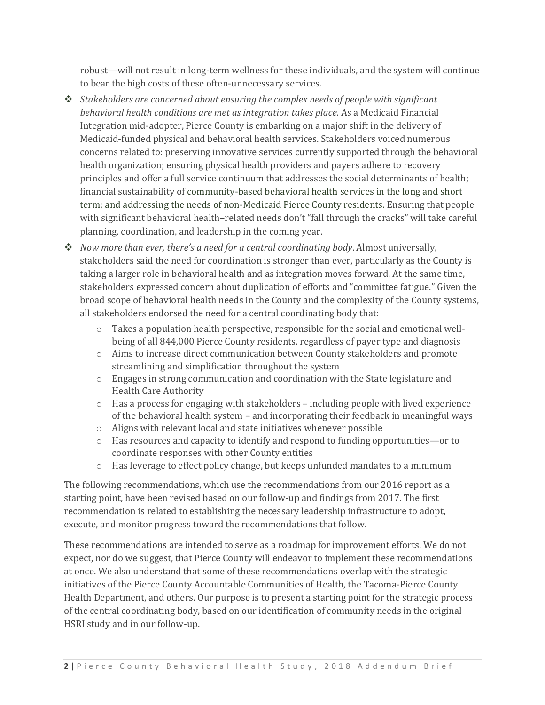robust—will not result in long-term wellness for these individuals, and the system will continue to bear the high costs of these often-unnecessary services.

- ❖ *Stakeholders are concerned about ensuring the complex needs of people with significant behavioral health conditions are met as integration takes place.* As a Medicaid Financial Integration mid-adopter, Pierce County is embarking on a major shift in the delivery of Medicaid-funded physical and behavioral health services. Stakeholders voiced numerous concerns related to: preserving innovative services currently supported through the behavioral health organization; ensuring physical health providers and payers adhere to recovery principles and offer a full service continuum that addresses the social determinants of health; financial sustainability of community-based behavioral health services in the long and short term; and addressing the needs of non-Medicaid Pierce County residents. Ensuring that people with significant behavioral health–related needs don't "fall through the cracks" will take careful planning, coordination, and leadership in the coming year.
- ❖ *Now more than ever, there's a need for a central coordinating body*. Almost universally, stakeholders said the need for coordination is stronger than ever, particularly as the County is taking a larger role in behavioral health and as integration moves forward. At the same time, stakeholders expressed concern about duplication of efforts and "committee fatigue." Given the broad scope of behavioral health needs in the County and the complexity of the County systems, all stakeholders endorsed the need for a central coordinating body that:
	- $\circ$  Takes a population health perspective, responsible for the social and emotional wellbeing of all 844,000 Pierce County residents, regardless of payer type and diagnosis
	- o Aims to increase direct communication between County stakeholders and promote streamlining and simplification throughout the system
	- o Engages in strong communication and coordination with the State legislature and Health Care Authority
	- $\circ$  Has a process for engaging with stakeholders including people with lived experience of the behavioral health system – and incorporating their feedback in meaningful ways
	- o Aligns with relevant local and state initiatives whenever possible
	- o Has resources and capacity to identify and respond to funding opportunities—or to coordinate responses with other County entities
	- o Has leverage to effect policy change, but keeps unfunded mandates to a minimum

The following recommendations, which use the recommendations from our 2016 report as a starting point, have been revised based on our follow-up and findings from 2017. The first recommendation is related to establishing the necessary leadership infrastructure to adopt, execute, and monitor progress toward the recommendations that follow.

These recommendations are intended to serve as a roadmap for improvement efforts. We do not expect, nor do we suggest, that Pierce County will endeavor to implement these recommendations at once. We also understand that some of these recommendations overlap with the strategic initiatives of the Pierce County Accountable Communities of Health, the Tacoma-Pierce County Health Department, and others. Our purpose is to present a starting point for the strategic process of the central coordinating body, based on our identification of community needs in the original HSRI study and in our follow-up.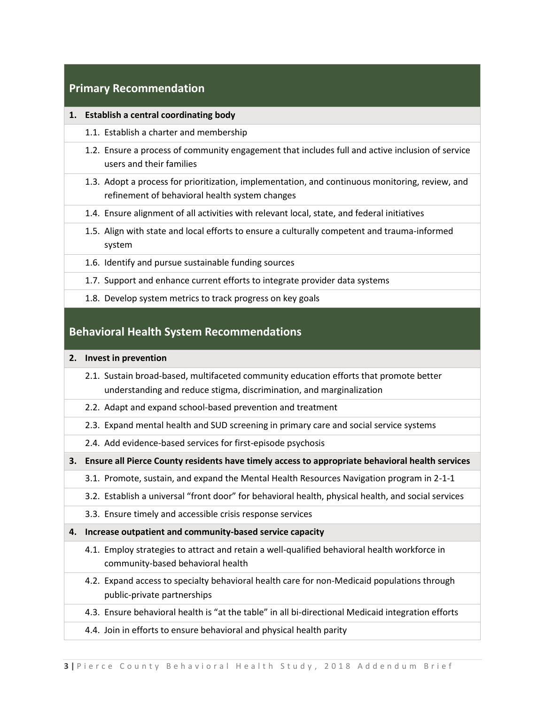## **Primary Recommendation**

## **1. Establish a central coordinating body**

- 1.1. Establish a charter and membership
- 1.2. Ensure a process of community engagement that includes full and active inclusion of service users and their families
- 1.3. Adopt a process for prioritization, implementation, and continuous monitoring, review, and refinement of behavioral health system changes
- 1.4. Ensure alignment of all activities with relevant local, state, and federal initiatives
- 1.5. Align with state and local efforts to ensure a culturally competent and trauma-informed system
- 1.6. Identify and pursue sustainable funding sources
- 1.7. Support and enhance current efforts to integrate provider data systems
- 1.8. Develop system metrics to track progress on key goals

## **Behavioral Health System Recommendations**

- **2. Invest in prevention**
	- 2.1. Sustain broad-based, multifaceted community education efforts that promote better understanding and reduce stigma, discrimination, and marginalization
	- 2.2. Adapt and expand school-based prevention and treatment
	- 2.3. Expand mental health and SUD screening in primary care and social service systems
	- 2.4. Add evidence-based services for first-episode psychosis
- **3. Ensure all Pierce County residents have timely access to appropriate behavioral health services**
	- 3.1. Promote, sustain, and expand the Mental Health Resources Navigation program in 2-1-1
	- 3.2. Establish a universal "front door" for behavioral health, physical health, and social services
	- 3.3. Ensure timely and accessible crisis response services
- **4. Increase outpatient and community-based service capacity**
	- 4.1. Employ strategies to attract and retain a well-qualified behavioral health workforce in community-based behavioral health
	- 4.2. Expand access to specialty behavioral health care for non-Medicaid populations through public-private partnerships
	- 4.3. Ensure behavioral health is "at the table" in all bi-directional Medicaid integration efforts
	- 4.4. Join in efforts to ensure behavioral and physical health parity